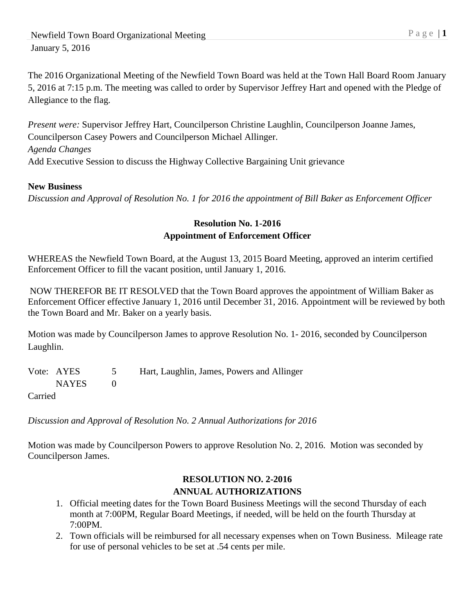The 2016 Organizational Meeting of the Newfield Town Board was held at the Town Hall Board Room January 5, 2016 at 7:15 p.m. The meeting was called to order by Supervisor Jeffrey Hart and opened with the Pledge of Allegiance to the flag.

*Present were:* Supervisor Jeffrey Hart, Councilperson Christine Laughlin, Councilperson Joanne James, Councilperson Casey Powers and Councilperson Michael Allinger. *Agenda Changes* Add Executive Session to discuss the Highway Collective Bargaining Unit grievance

### **New Business**

*Discussion and Approval of Resolution No. 1 for 2016 the appointment of Bill Baker as Enforcement Officer*

### **Resolution No. 1-2016 Appointment of Enforcement Officer**

WHEREAS the Newfield Town Board, at the August 13, 2015 Board Meeting, approved an interim certified Enforcement Officer to fill the vacant position, until January 1, 2016.

NOW THEREFOR BE IT RESOLVED that the Town Board approves the appointment of William Baker as Enforcement Officer effective January 1, 2016 until December 31, 2016. Appointment will be reviewed by both the Town Board and Mr. Baker on a yearly basis.

Motion was made by Councilperson James to approve Resolution No. 1- 2016, seconded by Councilperson Laughlin.

|                     | Vote: AYES | Hart, Laughlin, James, Powers and Allinger |
|---------------------|------------|--------------------------------------------|
|                     | NAYES      |                                            |
| C <sub>amical</sub> |            |                                            |

Carried

*Discussion and Approval of Resolution No. 2 Annual Authorizations for 2016*

Motion was made by Councilperson Powers to approve Resolution No. 2, 2016. Motion was seconded by Councilperson James.

## **RESOLUTION NO. 2-2016 ANNUAL AUTHORIZATIONS**

- 1. Official meeting dates for the Town Board Business Meetings will the second Thursday of each month at 7:00PM, Regular Board Meetings, if needed, will be held on the fourth Thursday at 7:00PM.
- 2. Town officials will be reimbursed for all necessary expenses when on Town Business. Mileage rate for use of personal vehicles to be set at .54 cents per mile.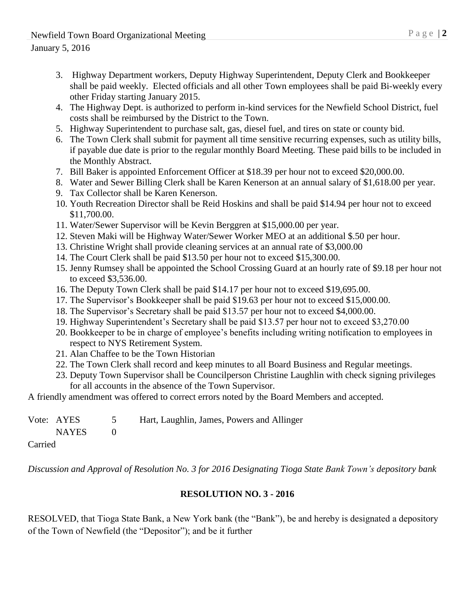- 3. Highway Department workers, Deputy Highway Superintendent, Deputy Clerk and Bookkeeper shall be paid weekly. Elected officials and all other Town employees shall be paid Bi-weekly every other Friday starting January 2015.
- 4. The Highway Dept. is authorized to perform in-kind services for the Newfield School District, fuel costs shall be reimbursed by the District to the Town.
- 5. Highway Superintendent to purchase salt, gas, diesel fuel, and tires on state or county bid.
- 6. The Town Clerk shall submit for payment all time sensitive recurring expenses, such as utility bills, if payable due date is prior to the regular monthly Board Meeting. These paid bills to be included in the Monthly Abstract.
- 7. Bill Baker is appointed Enforcement Officer at \$18.39 per hour not to exceed \$20,000.00.
- 8. Water and Sewer Billing Clerk shall be Karen Kenerson at an annual salary of \$1,618.00 per year.
- 9. Tax Collector shall be Karen Kenerson.
- 10. Youth Recreation Director shall be Reid Hoskins and shall be paid \$14.94 per hour not to exceed \$11,700.00.
- 11. Water/Sewer Supervisor will be Kevin Berggren at \$15,000.00 per year.
- 12. Steven Maki will be Highway Water/Sewer Worker MEO at an additional \$.50 per hour.
- 13. Christine Wright shall provide cleaning services at an annual rate of \$3,000.00
- 14. The Court Clerk shall be paid \$13.50 per hour not to exceed \$15,300.00.
- 15. Jenny Rumsey shall be appointed the School Crossing Guard at an hourly rate of \$9.18 per hour not to exceed \$3,536.00.
- 16. The Deputy Town Clerk shall be paid \$14.17 per hour not to exceed \$19,695.00.
- 17. The Supervisor's Bookkeeper shall be paid \$19.63 per hour not to exceed \$15,000.00.
- 18. The Supervisor's Secretary shall be paid \$13.57 per hour not to exceed \$4,000.00.
- 19. Highway Superintendent's Secretary shall be paid \$13.57 per hour not to exceed \$3,270.00
- 20. Bookkeeper to be in charge of employee's benefits including writing notification to employees in respect to NYS Retirement System.
- 21. Alan Chaffee to be the Town Historian
- 22. The Town Clerk shall record and keep minutes to all Board Business and Regular meetings.
- 23. Deputy Town Supervisor shall be Councilperson Christine Laughlin with check signing privileges for all accounts in the absence of the Town Supervisor.

A friendly amendment was offered to correct errors noted by the Board Members and accepted.

|  | Vote: AYES | Hart, Laughlin, James, Powers and Allinger |
|--|------------|--------------------------------------------|
|  | NAYES      |                                            |

Carried

*Discussion and Approval of Resolution No. 3 for 2016 Designating Tioga State Bank Town's depository bank*

# **RESOLUTION NO. 3 - 2016**

RESOLVED, that Tioga State Bank, a New York bank (the "Bank"), be and hereby is designated a depository of the Town of Newfield (the "Depositor"); and be it further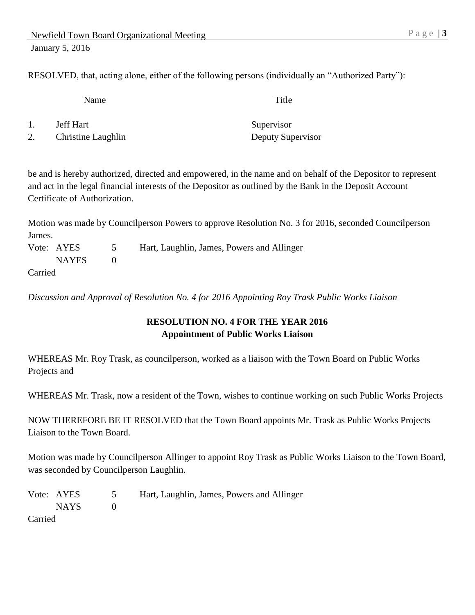RESOLVED, that, acting alone, either of the following persons (individually an "Authorized Party"):

Name Title

- 1. **Jeff Hart** Supervisor
- 2. Christine Laughlin Deputy Supervisor

be and is hereby authorized, directed and empowered, in the name and on behalf of the Depositor to represent and act in the legal financial interests of the Depositor as outlined by the Bank in the Deposit Account Certificate of Authorization.

Motion was made by Councilperson Powers to approve Resolution No. 3 for 2016, seconded Councilperson James.

Vote: AYES 5 Hart, Laughlin, James, Powers and Allinger NAYES 0 Carried

*Discussion and Approval of Resolution No. 4 for 2016 Appointing Roy Trask Public Works Liaison*

## **RESOLUTION NO. 4 FOR THE YEAR 2016 Appointment of Public Works Liaison**

WHEREAS Mr. Roy Trask, as councilperson, worked as a liaison with the Town Board on Public Works Projects and

WHEREAS Mr. Trask, now a resident of the Town, wishes to continue working on such Public Works Projects

NOW THEREFORE BE IT RESOLVED that the Town Board appoints Mr. Trask as Public Works Projects Liaison to the Town Board.

Motion was made by Councilperson Allinger to appoint Roy Trask as Public Works Liaison to the Town Board, was seconded by Councilperson Laughlin.

| Vote: AYES |        | $\mathcal{L}$ | Hart, Laughlin, James, Powers and Allinger |
|------------|--------|---------------|--------------------------------------------|
|            | NAYS 1 |               |                                            |
| Carried    |        |               |                                            |